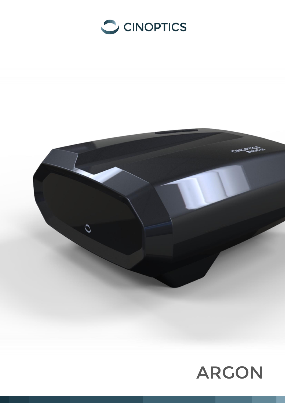